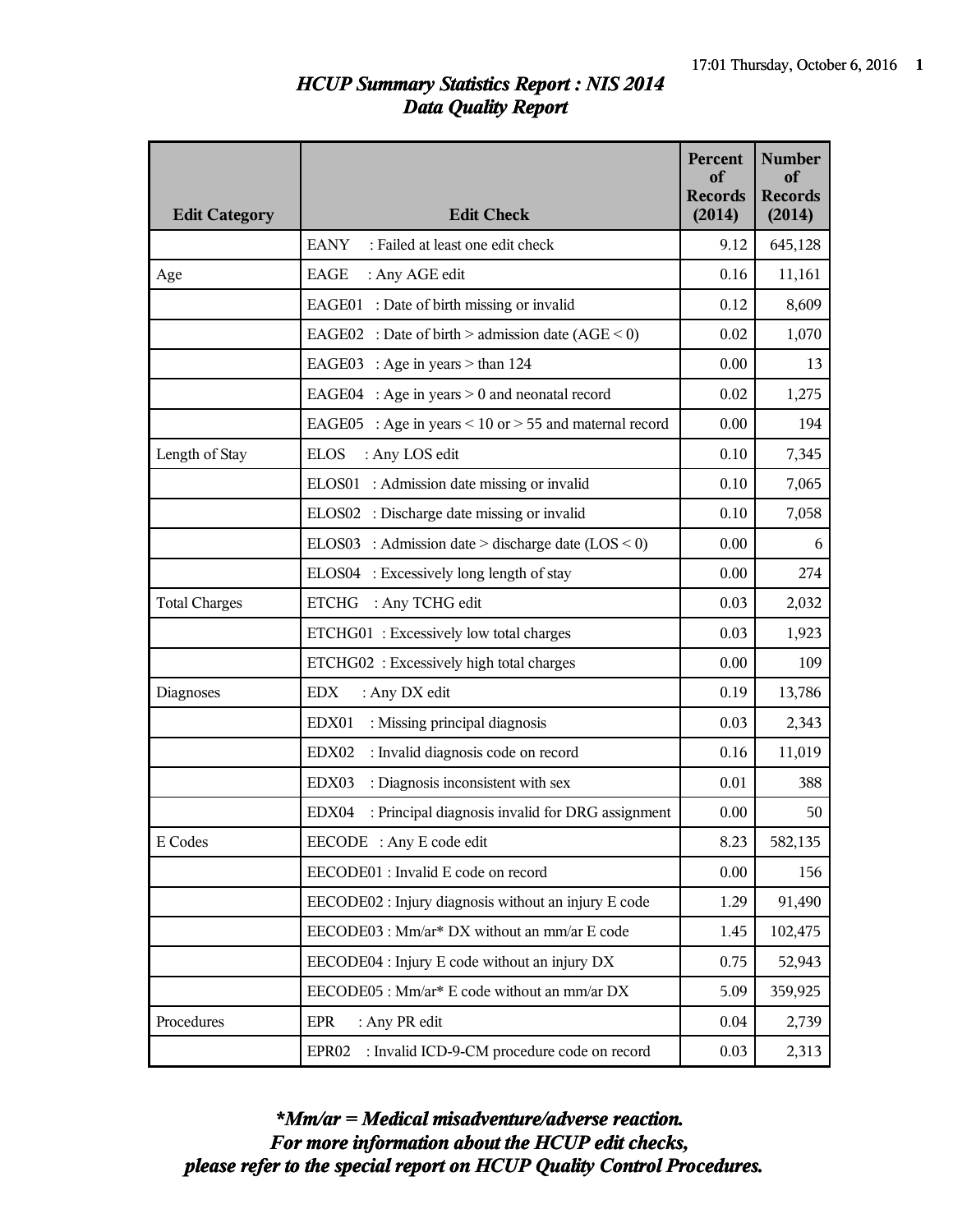## *HCUP Summary Statistics Report : NIS 2014 Data Quality Report*

| <b>Edit Category</b> | <b>Edit Check</b>                                                | <b>Percent</b><br>of<br><b>Records</b><br>(2014) | <b>Number</b><br>of<br><b>Records</b><br>(2014) |
|----------------------|------------------------------------------------------------------|--------------------------------------------------|-------------------------------------------------|
|                      | <b>EANY</b><br>: Failed at least one edit check                  | 9.12                                             | 645,128                                         |
| Age                  | EAGE<br>: Any AGE edit                                           | 0.16                                             | 11,161                                          |
|                      | EAGE01 : Date of birth missing or invalid                        | 0.12                                             | 8,609                                           |
|                      | EAGE02 : Date of birth > admission date $(AGE < 0)$              | 0.02                                             | 1,070                                           |
|                      | EAGE03 : Age in years $>$ than 124                               | 0.00                                             | 13                                              |
|                      | EAGE04 : Age in years $> 0$ and neonatal record                  | 0.02                                             | 1,275                                           |
|                      | EAGE05 : Age in years $\leq$ 10 or $>$ 55 and maternal record    | 0.00                                             | 194                                             |
| Length of Stay       | <b>ELOS</b><br>: Any LOS edit                                    | 0.10                                             | 7,345                                           |
|                      | ELOS01 : Admission date missing or invalid                       | 0.10                                             | 7,065                                           |
|                      | ELOS02 : Discharge date missing or invalid                       | 0.10                                             | 7,058                                           |
|                      | ELOS03 : Admission date > discharge date $(LOS < 0)$             | 0.00                                             | 6                                               |
|                      | ELOS04 : Excessively long length of stay                         | 0.00                                             | 274                                             |
| <b>Total Charges</b> | <b>ETCHG</b><br>: Any TCHG edit                                  | 0.03                                             | 2,032                                           |
|                      | ETCHG01: Excessively low total charges                           | 0.03                                             | 1,923                                           |
|                      | ETCHG02 : Excessively high total charges                         | 0.00                                             | 109                                             |
| Diagnoses            | <b>EDX</b><br>: Any DX edit                                      | 0.19                                             | 13,786                                          |
|                      | EDX01<br>: Missing principal diagnosis                           | 0.03                                             | 2,343                                           |
|                      | : Invalid diagnosis code on record<br>EDX02                      | 0.16                                             | 11,019                                          |
|                      | EDX03<br>: Diagnosis inconsistent with sex                       | 0.01                                             | 388                                             |
|                      | EDX04<br>: Principal diagnosis invalid for DRG assignment        | 0.00                                             | 50                                              |
| E Codes              | EECODE : Any E code edit                                         | 8.23                                             | 582,135                                         |
|                      | EECODE01 : Invalid E code on record                              | 0.00                                             | 156                                             |
|                      | EECODE02 : Injury diagnosis without an injury E code             | 1.29                                             | 91,490                                          |
|                      | EECODE03 : Mm/ar* DX without an mm/ar E code                     | 1.45                                             | 102,475                                         |
|                      | EECODE04 : Injury E code without an injury DX                    | 0.75                                             | 52,943                                          |
|                      | EECODE05 : Mm/ar* E code without an mm/ar DX                     | 5.09                                             | 359,925                                         |
| Procedures           | <b>EPR</b><br>: Any PR edit                                      | 0.04                                             | 2,739                                           |
|                      | : Invalid ICD-9-CM procedure code on record<br>EPR <sub>02</sub> | 0.03                                             | 2,313                                           |

*please refer to the special report on HCUP Quality Control Procedures. For more information about the HCUP edit checks, \*Mm/ar = Medical misadventure/adverse reaction.*